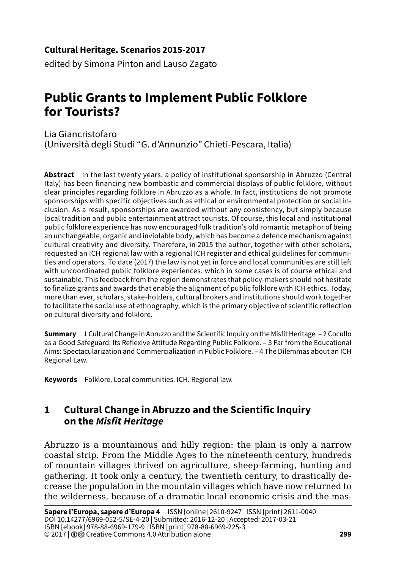#### **Cultural Heritage. Scenarios 2015-2017**

edited by Simona Pinton and Lauso Zagato

# **Public Grants to Implement Public Folklore for Tourists?**

Lia Giancristofaro (Università degli Studi "G. d'Annunzio" Chieti-Pescara, Italia)

**Abstract** In the last twenty years, a policy of institutional sponsorship in Abruzzo (Central Italy) has been financing new bombastic and commercial displays of public folklore, without clear principles regarding folklore in Abruzzo as a whole. In fact, institutions do not promote sponsorships with specific objectives such as ethical or environmental protection or social inclusion. As a result, sponsorships are awarded without any consistency, but simply because local tradition and public entertainment attract tourists. Of course, this local and institutional public folklore experience has now encouraged folk tradition's old romantic metaphor of being an unchangeable, organic and inviolable body, which has become a defence mechanism against cultural creativity and diversity. Therefore, in 2015 the author, together with other scholars, requested an ICH regional law with a regional ICH register and ethical guidelines for communities and operators. To date (2017) the law is not yet in force and local communities are still left with uncoordinated public folklore experiences, which in some cases is of course ethical and sustainable. This feedback from the region demonstrates that policy-makers should not hesitate to finalize grants and awards that enable the alignment of public folklore with ICH ethics. Today, more than ever, scholars, stake-holders, cultural brokers and institutions should work together to facilitate the social use of ethnography, which is the primary objective of scientific reflection on cultural diversity and folklore.

**Summary** 1 Cultural Change in Abruzzo and the Scientific Inquiry on the Misfit Heritage. – 2 Cocullo as a Good Safeguard: Its Reflexive Attitude Regarding Public Folklore. – 3 Far from the Educational Aims: Spectacularization and Commercialization in Public Folklore. – 4 The Dilemmas about an ICH Regional Law.

**Keywords** Folklore. Local communities. ICH. Regional law.

## **1 Cultural Change in Abruzzo and the Scientific Inquiry on the** *Misfit Heritage*

Abruzzo is a mountainous and hilly region: the plain is only a narrow coastal strip. From the Middle Ages to the nineteenth century, hundreds of mountain villages thrived on agriculture, sheep-farming, hunting and gathering. It took only a century, the twentieth century, to drastically decrease the population in the mountain villages which have now returned to the wilderness, because of a dramatic local economic crisis and the mas-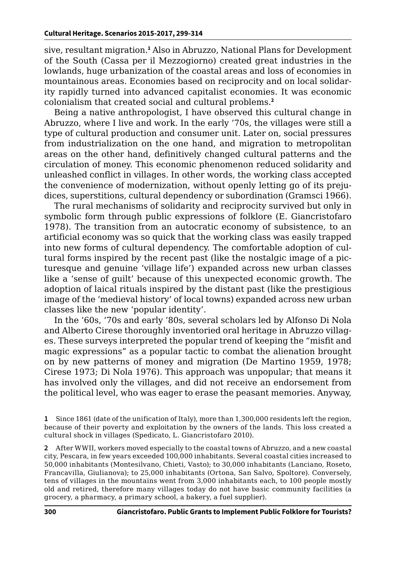sive, resultant migration.**<sup>1</sup>** Also in Abruzzo, National Plans for Development of the South (Cassa per il Mezzogiorno) created great industries in the lowlands, huge urbanization of the coastal areas and loss of economies in mountainous areas. Economies based on reciprocity and on local solidarity rapidly turned into advanced capitalist economies. It was economic colonialism that created social and cultural problems.**<sup>2</sup>**

Being a native anthropologist, I have observed this cultural change in Abruzzo, where I live and work. In the early '70s, the villages were still a type of cultural production and consumer unit. Later on, social pressures from industrialization on the one hand, and migration to metropolitan areas on the other hand, definitively changed cultural patterns and the circulation of money. This economic phenomenon reduced solidarity and unleashed conflict in villages. In other words, the working class accepted the convenience of modernization, without openly letting go of its prejudices, superstitions, cultural dependency or subordination (Gramsci 1966).

The rural mechanisms of solidarity and reciprocity survived but only in symbolic form through public expressions of folklore (E. Giancristofaro 1978). The transition from an autocratic economy of subsistence, to an artificial economy was so quick that the working class was easily trapped into new forms of cultural dependency. The comfortable adoption of cultural forms inspired by the recent past (like the nostalgic image of a picturesque and genuine 'village life') expanded across new urban classes like a 'sense of guilt' because of this unexpected economic growth. The adoption of laical rituals inspired by the distant past (like the prestigious image of the 'medieval history' of local towns) expanded across new urban classes like the new 'popular identity'.

In the '60s, '70s and early '80s, several scholars led by Alfonso Di Nola and Alberto Cirese thoroughly inventoried oral heritage in Abruzzo villages. These surveys interpreted the popular trend of keeping the "misfit and magic expressions" as a popular tactic to combat the alienation brought on by new patterns of money and migration (De Martino 1959, 1978; Cirese 1973; Di Nola 1976). This approach was unpopular; that means it has involved only the villages, and did not receive an endorsement from the political level, who was eager to erase the peasant memories. Anyway,

**1** Since 1861 (date of the unification of Italy), more than 1,300,000 residents left the region, because of their poverty and exploitation by the owners of the lands. This loss created a cultural shock in villages (Spedicato, L. Giancristofaro 2010).

**2** After WWII, workers moved especially to the coastal towns of Abruzzo, and a new coastal city, Pescara, in few years exceeded 100,000 inhabitants. Several coastal cities increased to 50,000 inhabitants (Montesilvano, Chieti, Vasto); to 30,000 inhabitants (Lanciano, Roseto, Francavilla, Giulianova); to 25,000 inhabitants (Ortona, San Salvo, Spoltore). Conversely, tens of villages in the mountains went from 3,000 inhabitants each, to 100 people mostly old and retired, therefore many villages today do not have basic community facilities (a grocery, a pharmacy, a primary school, a bakery, a fuel supplier).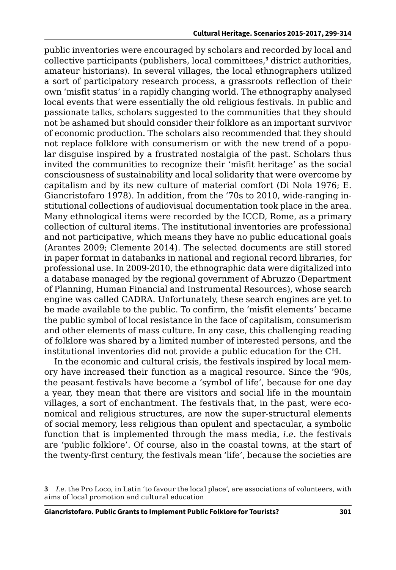public inventories were encouraged by scholars and recorded by local and collective participants (publishers, local committees,**<sup>3</sup>** district authorities, amateur historians). In several villages, the local ethnographers utilized a sort of participatory research process, a grassroots reflection of their own 'misfit status' in a rapidly changing world. The ethnography analysed local events that were essentially the old religious festivals. In public and passionate talks, scholars suggested to the communities that they should not be ashamed but should consider their folklore as an important survivor of economic production. The scholars also recommended that they should not replace folklore with consumerism or with the new trend of a popular disguise inspired by a frustrated nostalgia of the past. Scholars thus invited the communities to recognize their 'misfit heritage' as the social consciousness of sustainability and local solidarity that were overcome by capitalism and by its new culture of material comfort (Di Nola 1976; E. Giancristofaro 1978). In addition, from the '70s to 2010, wide-ranging institutional collections of audiovisual documentation took place in the area. Many ethnological items were recorded by the ICCD, Rome, as a primary collection of cultural items. The institutional inventories are professional and not participative, which means they have no public educational goals (Arantes 2009; Clemente 2014). The selected documents are still stored in paper format in databanks in national and regional record libraries, for professional use. In 2009-2010, the ethnographic data were digitalized into a database managed by the regional government of Abruzzo (Department of Planning, Human Financial and Instrumental Resources), whose search engine was called CADRA. Unfortunately, these search engines are yet to be made available to the public. To confirm, the 'misfit elements' became the public symbol of local resistance in the face of capitalism, consumerism and other elements of mass culture. In any case, this challenging reading of folklore was shared by a limited number of interested persons, and the institutional inventories did not provide a public education for the CH.

In the economic and cultural crisis, the festivals inspired by local memory have increased their function as a magical resource. Since the '90s, the peasant festivals have become a 'symbol of life', because for one day a year, they mean that there are visitors and social life in the mountain villages, a sort of enchantment. The festivals that, in the past, were economical and religious structures, are now the super-structural elements of social memory, less religious than opulent and spectacular, a symbolic function that is implemented through the mass media, *i.e.* the festivals are 'public folklore'. Of course, also in the coastal towns, at the start of the twenty-first century, the festivals mean 'life', because the societies are

**<sup>3</sup>** *I.e.* the Pro Loco, in Latin 'to favour the local place', are associations of volunteers, with aims of local promotion and cultural education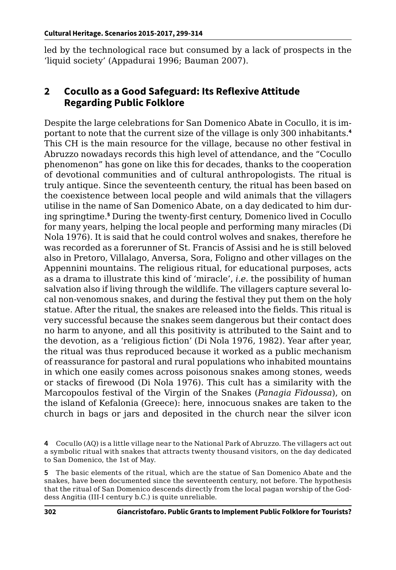led by the technological race but consumed by a lack of prospects in the 'liquid society' (Appadurai 1996; Bauman 2007).

### **2 Cocullo as a Good Safeguard: Its Reflexive Attitude Regarding Public Folklore**

Despite the large celebrations for San Domenico Abate in Cocullo, it is important to note that the current size of the village is only 300 inhabitants.**<sup>4</sup>** This CH is the main resource for the village, because no other festival in Abruzzo nowadays records this high level of attendance, and the "Cocullo phenomenon" has gone on like this for decades, thanks to the cooperation of devotional communities and of cultural anthropologists. The ritual is truly antique. Since the seventeenth century, the ritual has been based on the coexistence between local people and wild animals that the villagers utilise in the name of San Domenico Abate, on a day dedicated to him during springtime.**<sup>5</sup>** During the twenty-first century, Domenico lived in Cocullo for many years, helping the local people and performing many miracles (Di Nola 1976). It is said that he could control wolves and snakes, therefore he was recorded as a forerunner of St. Francis of Assisi and he is still beloved also in Pretoro, Villalago, Anversa, Sora, Foligno and other villages on the Appennini mountains. The religious ritual, for educational purposes, acts as a drama to illustrate this kind of 'miracle', *i.e.* the possibility of human salvation also if living through the wildlife. The villagers capture several local non-venomous snakes, and during the festival they put them on the holy statue. After the ritual, the snakes are released into the fields. This ritual is very successful because the snakes seem dangerous but their contact does no harm to anyone, and all this positivity is attributed to the Saint and to the devotion, as a 'religious fiction' (Di Nola 1976, 1982). Year after year, the ritual was thus reproduced because it worked as a public mechanism of reassurance for pastoral and rural populations who inhabited mountains in which one easily comes across poisonous snakes among stones, weeds or stacks of firewood (Di Nola 1976). This cult has a similarity with the Marcopoulos festival of the Virgin of the Snakes (*Panagia Fidoussa*), on the island of Kefalonia (Greece): here, innocuous snakes are taken to the church in bags or jars and deposited in the church near the silver icon

**<sup>4</sup>** Cocullo (AQ) is a little village near to the National Park of Abruzzo. The villagers act out a symbolic ritual with snakes that attracts twenty thousand visitors, on the day dedicated to San Domenico, the 1st of May.

**<sup>5</sup>** The basic elements of the ritual, which are the statue of San Domenico Abate and the snakes, have been documented since the seventeenth century, not before. The hypothesis that the ritual of San Domenico descends directly from the local pagan worship of the Goddess Angitia (III-I century b.C.) is quite unreliable.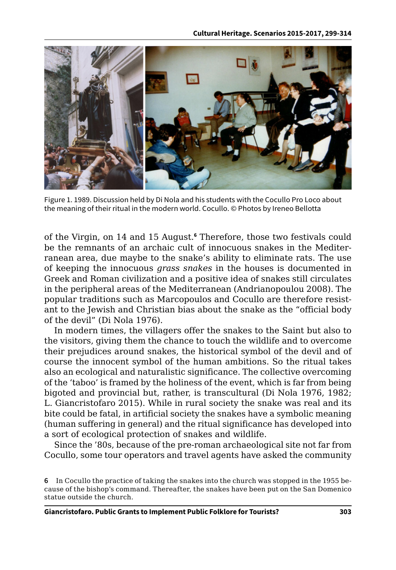

Figure 1. 1989. Discussion held by Di Nola and his students with the Cocullo Pro Loco about the meaning of their ritual in the modern world. Cocullo. © Photos by Ireneo Bellotta

of the Virgin, on 14 and 15 August.**<sup>6</sup>** Therefore, those two festivals could be the remnants of an archaic cult of innocuous snakes in the Mediterranean area, due maybe to the snake's ability to eliminate rats. The use of keeping the innocuous *grass snakes* in the houses is documented in Greek and Roman civilization and a positive idea of snakes still circulates in the peripheral areas of the Mediterranean (Andrianopoulou 2008). The popular traditions such as Marcopoulos and Cocullo are therefore resistant to the Jewish and Christian bias about the snake as the "official body of the devil" (Di Nola 1976).

In modern times, the villagers offer the snakes to the Saint but also to the visitors, giving them the chance to touch the wildlife and to overcome their prejudices around snakes, the historical symbol of the devil and of course the innocent symbol of the human ambitions. So the ritual takes also an ecological and naturalistic significance. The collective overcoming of the 'taboo' is framed by the holiness of the event, which is far from being bigoted and provincial but, rather, is transcultural (Di Nola 1976, 1982; L. Giancristofaro 2015). While in rural society the snake was real and its bite could be fatal, in artificial society the snakes have a symbolic meaning (human suffering in general) and the ritual significance has developed into a sort of ecological protection of snakes and wildlife.

Since the '80s, because of the pre-roman archaeological site not far from Cocullo, some tour operators and travel agents have asked the community

**<sup>6</sup>** In Cocullo the practice of taking the snakes into the church was stopped in the 1955 because of the bishop's command. Thereafter, the snakes have been put on the San Domenico statue outside the church.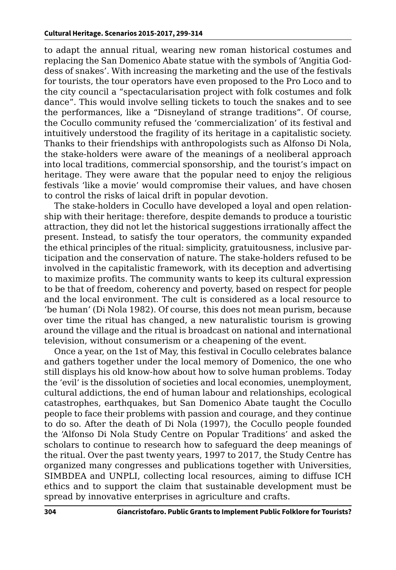to adapt the annual ritual, wearing new roman historical costumes and replacing the San Domenico Abate statue with the symbols of 'Angitia Goddess of snakes'. With increasing the marketing and the use of the festivals for tourists, the tour operators have even proposed to the Pro Loco and to the city council a "spectacularisation project with folk costumes and folk dance". This would involve selling tickets to touch the snakes and to see the performances, like a "Disneyland of strange traditions". Of course, the Cocullo community refused the 'commercialization' of its festival and intuitively understood the fragility of its heritage in a capitalistic society. Thanks to their friendships with anthropologists such as Alfonso Di Nola, the stake-holders were aware of the meanings of a neoliberal approach into local traditions, commercial sponsorship, and the tourist's impact on heritage. They were aware that the popular need to enjoy the religious festivals 'like a movie' would compromise their values, and have chosen to control the risks of laical drift in popular devotion.

The stake-holders in Cocullo have developed a loyal and open relationship with their heritage: therefore, despite demands to produce a touristic attraction, they did not let the historical suggestions irrationally affect the present. Instead, to satisfy the tour operators, the community expanded the ethical principles of the ritual: simplicity, gratuitousness, inclusive participation and the conservation of nature. The stake-holders refused to be involved in the capitalistic framework, with its deception and advertising to maximize profits. The community wants to keep its cultural expression to be that of freedom, coherency and poverty, based on respect for people and the local environment. The cult is considered as a local resource to 'be human' (Di Nola 1982). Of course, this does not mean purism, because over time the ritual has changed, a new naturalistic tourism is growing around the village and the ritual is broadcast on national and international television, without consumerism or a cheapening of the event.

Once a year, on the 1st of May, this festival in Cocullo celebrates balance and gathers together under the local memory of Domenico, the one who still displays his old know-how about how to solve human problems. Today the 'evil' is the dissolution of societies and local economies, unemployment, cultural addictions, the end of human labour and relationships, ecological catastrophes, earthquakes, but San Domenico Abate taught the Cocullo people to face their problems with passion and courage, and they continue to do so. After the death of Di Nola (1997), the Cocullo people founded the 'Alfonso Di Nola Study Centre on Popular Traditions' and asked the scholars to continue to research how to safeguard the deep meanings of the ritual. Over the past twenty years, 1997 to 2017, the Study Centre has organized many congresses and publications together with Universities, SIMBDEA and UNPLI, collecting local resources, aiming to diffuse ICH ethics and to support the claim that sustainable development must be spread by innovative enterprises in agriculture and crafts.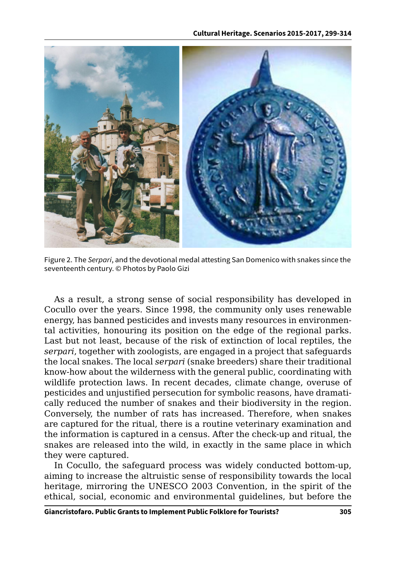

Figure 2. The *Serpari*, and the devotional medal attesting San Domenico with snakes since the seventeenth century. © Photos by Paolo Gizi

As a result, a strong sense of social responsibility has developed in Cocullo over the years. Since 1998, the community only uses renewable energy, has banned pesticides and invests many resources in environmental activities, honouring its position on the edge of the regional parks. Last but not least, because of the risk of extinction of local reptiles, the *serpari*, together with zoologists, are engaged in a project that safeguards the local snakes. The local *serpari* (snake breeders) share their traditional know-how about the wilderness with the general public, coordinating with wildlife protection laws. In recent decades, climate change, overuse of pesticides and unjustified persecution for symbolic reasons, have dramatically reduced the number of snakes and their biodiversity in the region. Conversely, the number of rats has increased. Therefore, when snakes are captured for the ritual, there is a routine veterinary examination and the information is captured in a census. After the check-up and ritual, the snakes are released into the wild, in exactly in the same place in which they were captured.

In Cocullo, the safeguard process was widely conducted bottom-up, aiming to increase the altruistic sense of responsibility towards the local heritage, mirroring the UNESCO 2003 Convention, in the spirit of the ethical, social, economic and environmental guidelines, but before the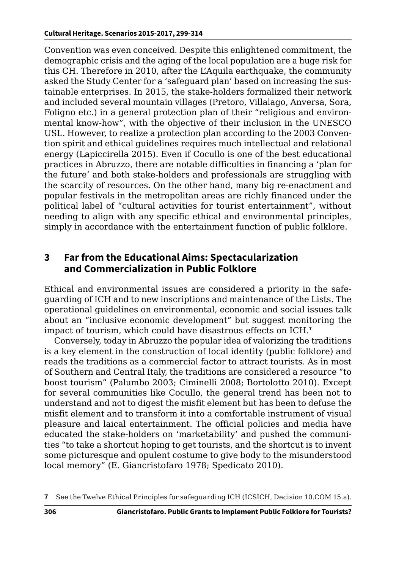Convention was even conceived. Despite this enlightened commitment, the demographic crisis and the aging of the local population are a huge risk for this CH. Therefore in 2010, after the L'Aquila earthquake, the community asked the Study Center for a 'safeguard plan' based on increasing the sustainable enterprises. In 2015, the stake-holders formalized their network and included several mountain villages (Pretoro, Villalago, Anversa, Sora, Foligno etc.) in a general protection plan of their "religious and environmental know-how", with the objective of their inclusion in the UNESCO USL. However, to realize a protection plan according to the 2003 Convention spirit and ethical guidelines requires much intellectual and relational energy (Lapiccirella 2015). Even if Cocullo is one of the best educational practices in Abruzzo, there are notable difficulties in financing a 'plan for the future' and both stake-holders and professionals are struggling with the scarcity of resources. On the other hand, many big re-enactment and popular festivals in the metropolitan areas are richly financed under the political label of "cultural activities for tourist entertainment", without needing to align with any specific ethical and environmental principles, simply in accordance with the entertainment function of public folklore.

#### **3 Far from the Educational Aims: Spectacularization and Commercialization in Public Folklore**

Ethical and environmental issues are considered a priority in the safeguarding of ICH and to new inscriptions and maintenance of the Lists. The operational guidelines on environmental, economic and social issues talk about an "inclusive economic development" but suggest monitoring the impact of tourism, which could have disastrous effects on ICH.**<sup>7</sup>**

Conversely, today in Abruzzo the popular idea of valorizing the traditions is a key element in the construction of local identity (public folklore) and reads the traditions as a commercial factor to attract tourists. As in most of Southern and Central Italy, the traditions are considered a resource "to boost tourism" (Palumbo 2003; Ciminelli 2008; Bortolotto 2010). Except for several communities like Cocullo, the general trend has been not to understand and not to digest the misfit element but has been to defuse the misfit element and to transform it into a comfortable instrument of visual pleasure and laical entertainment. The official policies and media have educated the stake-holders on 'marketability' and pushed the communities "to take a shortcut hoping to get tourists, and the shortcut is to invent some picturesque and opulent costume to give body to the misunderstood local memory" (E. Giancristofaro 1978; Spedicato 2010).

**<sup>7</sup>** See the Twelve Ethical Principles for safeguarding ICH (ICSICH, Decision 10.COM 15.a).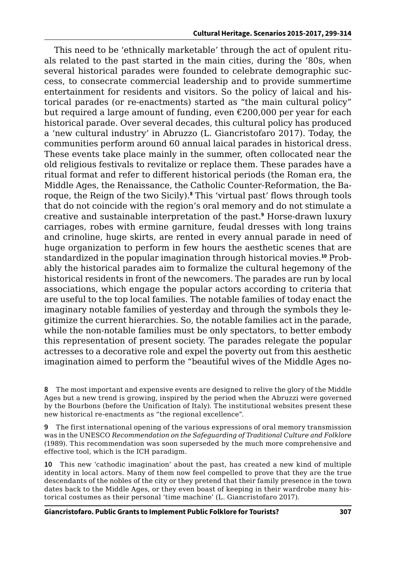This need to be 'ethnically marketable' through the act of opulent rituals related to the past started in the main cities, during the '80s, when several historical parades were founded to celebrate demographic success, to consecrate commercial leadership and to provide summertime entertainment for residents and visitors. So the policy of laical and historical parades (or re-enactments) started as "the main cultural policy" but required a large amount of funding, even  $\epsilon$ 200,000 per year for each historical parade. Over several decades, this cultural policy has produced a 'new cultural industry' in Abruzzo (L. Giancristofaro 2017). Today, the communities perform around 60 annual laical parades in historical dress. These events take place mainly in the summer, often collocated near the old religious festivals to revitalize or replace them. These parades have a ritual format and refer to different historical periods (the Roman era, the Middle Ages, the Renaissance, the Catholic Counter-Reformation, the Baroque, the Reign of the two Sicily).**<sup>8</sup>** This 'virtual past' flows through tools that do not coincide with the region's oral memory and do not stimulate a creative and sustainable interpretation of the past.**<sup>9</sup>** Horse-drawn luxury carriages, robes with ermine garniture, feudal dresses with long trains and crinoline, huge skirts, are rented in every annual parade in need of huge organization to perform in few hours the aesthetic scenes that are standardized in the popular imagination through historical movies.**10** Probably the historical parades aim to formalize the cultural hegemony of the historical residents in front of the newcomers. The parades are run by local associations, which engage the popular actors according to criteria that are useful to the top local families. The notable families of today enact the imaginary notable families of yesterday and through the symbols they legitimize the current hierarchies. So, the notable families act in the parade, while the non-notable families must be only spectators, to better embody this representation of present society. The parades relegate the popular actresses to a decorative role and expel the poverty out from this aesthetic imagination aimed to perform the "beautiful wives of the Middle Ages no-

**8** The most important and expensive events are designed to relive the glory of the Middle Ages but a new trend is growing, inspired by the period when the Abruzzi were governed by the Bourbons (before the Unification of Italy). The institutional websites present these new historical re-enactments as "the regional excellence".

**9** The first international opening of the various expressions of oral memory transmission was in the UNESCO *Recommendation on the Safeguarding of Traditional Culture and Folklore* (1989). This recommendation was soon superseded by the much more comprehensive and effective tool, which is the ICH paradigm.

**10** This new 'cathodic imagination' about the past, has created a new kind of multiple identity in local actors. Many of them now feel compelled to prove that they are the true descendants of the nobles of the city or they pretend that their family presence in the town dates back to the Middle Ages, or they even boast of keeping in their wardrobe many historical costumes as their personal 'time machine' (L. Giancristofaro 2017).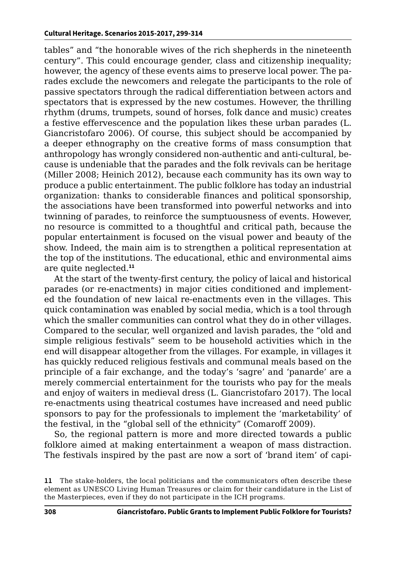tables" and "the honorable wives of the rich shepherds in the nineteenth century". This could encourage gender, class and citizenship inequality; however, the agency of these events aims to preserve local power. The parades exclude the newcomers and relegate the participants to the role of passive spectators through the radical differentiation between actors and spectators that is expressed by the new costumes. However, the thrilling rhythm (drums, trumpets, sound of horses, folk dance and music) creates a festive effervescence and the population likes these urban parades (L. Giancristofaro 2006). Of course, this subject should be accompanied by a deeper ethnography on the creative forms of mass consumption that anthropology has wrongly considered non-authentic and anti-cultural, because is undeniable that the parades and the folk revivals can be heritage (Miller 2008; Heinich 2012), because each community has its own way to produce a public entertainment. The public folklore has today an industrial organization: thanks to considerable finances and political sponsorship, the associations have been transformed into powerful networks and into twinning of parades, to reinforce the sumptuousness of events. However, no resource is committed to a thoughtful and critical path, because the popular entertainment is focused on the visual power and beauty of the show. Indeed, the main aim is to strengthen a political representation at the top of the institutions. The educational, ethic and environmental aims are quite neglected.**<sup>11</sup>**

At the start of the twenty-first century, the policy of laical and historical parades (or re-enactments) in major cities conditioned and implemented the foundation of new laical re-enactments even in the villages. This quick contamination was enabled by social media, which is a tool through which the smaller communities can control what they do in other villages. Compared to the secular, well organized and lavish parades, the "old and simple religious festivals" seem to be household activities which in the end will disappear altogether from the villages. For example, in villages it has quickly reduced religious festivals and communal meals based on the principle of a fair exchange, and the today's 'sagre' and 'panarde' are a merely commercial entertainment for the tourists who pay for the meals and enjoy of waiters in medieval dress (L. Giancristofaro 2017). The local re-enactments using theatrical costumes have increased and need public sponsors to pay for the professionals to implement the 'marketability' of the festival, in the "global sell of the ethnicity" (Comaroff 2009).

So, the regional pattern is more and more directed towards a public folklore aimed at making entertainment a weapon of mass distraction. The festivals inspired by the past are now a sort of 'brand item' of capi-

**<sup>11</sup>** The stake-holders, the local politicians and the communicators often describe these element as UNESCO Living Human Treasures or claim for their candidature in the List of the Masterpieces, even if they do not participate in the ICH programs.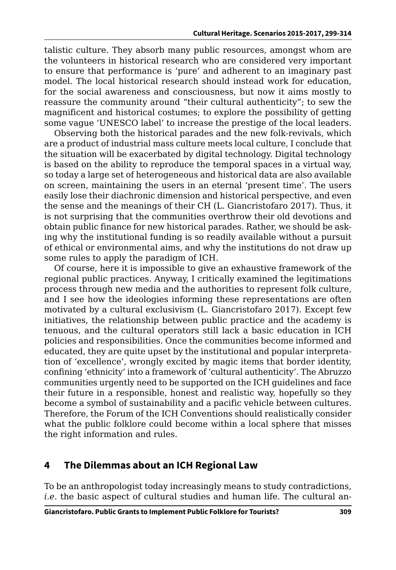talistic culture. They absorb many public resources, amongst whom are the volunteers in historical research who are considered very important to ensure that performance is 'pure' and adherent to an imaginary past model. The local historical research should instead work for education, for the social awareness and consciousness, but now it aims mostly to reassure the community around "their cultural authenticity"; to sew the magnificent and historical costumes; to explore the possibility of getting some vague 'UNESCO label' to increase the prestige of the local leaders.

Observing both the historical parades and the new folk-revivals, which are a product of industrial mass culture meets local culture, I conclude that the situation will be exacerbated by digital technology. Digital technology is based on the ability to reproduce the temporal spaces in a virtual way, so today a large set of heterogeneous and historical data are also available on screen, maintaining the users in an eternal 'present time'. The users easily lose their diachronic dimension and historical perspective, and even the sense and the meanings of their CH (L. Giancristofaro 2017). Thus, it is not surprising that the communities overthrow their old devotions and obtain public finance for new historical parades. Rather, we should be asking why the institutional funding is so readily available without a pursuit of ethical or environmental aims, and why the institutions do not draw up some rules to apply the paradigm of ICH.

Of course, here it is impossible to give an exhaustive framework of the regional public practices. Anyway, I critically examined the legitimations process through new media and the authorities to represent folk culture, and I see how the ideologies informing these representations are often motivated by a cultural exclusivism (L. Giancristofaro 2017). Except few initiatives, the relationship between public practice and the academy is tenuous, and the cultural operators still lack a basic education in ICH policies and responsibilities. Once the communities become informed and educated, they are quite upset by the institutional and popular interpretation of 'excellence', wrongly excited by magic items that border identity, confining 'ethnicity' into a framework of 'cultural authenticity'. The Abruzzo communities urgently need to be supported on the ICH guidelines and face their future in a responsible, honest and realistic way, hopefully so they become a symbol of sustainability and a pacific vehicle between cultures. Therefore, the Forum of the ICH Conventions should realistically consider what the public folklore could become within a local sphere that misses the right information and rules.

### **4 The Dilemmas about an ICH Regional Law**

To be an anthropologist today increasingly means to study contradictions, *i.e.* the basic aspect of cultural studies and human life. The cultural an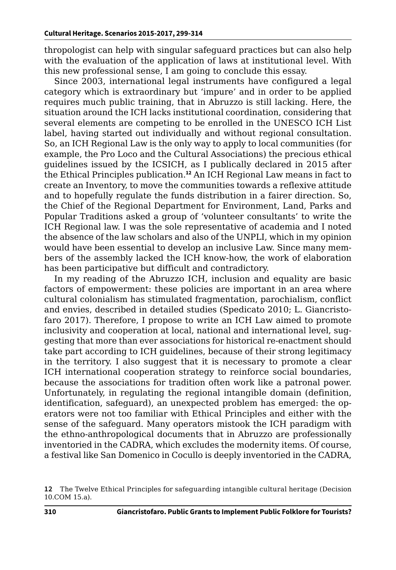thropologist can help with singular safeguard practices but can also help with the evaluation of the application of laws at institutional level. With this new professional sense, I am going to conclude this essay.

Since 2003, international legal instruments have configured a legal category which is extraordinary but 'impure' and in order to be applied requires much public training, that in Abruzzo is still lacking. Here, the situation around the ICH lacks institutional coordination, considering that several elements are competing to be enrolled in the UNESCO ICH List label, having started out individually and without regional consultation. So, an ICH Regional Law is the only way to apply to local communities (for example, the Pro Loco and the Cultural Associations) the precious ethical guidelines issued by the ICSICH, as I publically declared in 2015 after the Ethical Principles publication.**<sup>12</sup>** An ICH Regional Law means in fact to create an Inventory, to move the communities towards a reflexive attitude and to hopefully regulate the funds distribution in a fairer direction. So, the Chief of the Regional Department for Environment, Land, Parks and Popular Traditions asked a group of 'volunteer consultants' to write the ICH Regional law. I was the sole representative of academia and I noted the absence of the law scholars and also of the UNPLI, which in my opinion would have been essential to develop an inclusive Law. Since many members of the assembly lacked the ICH know-how, the work of elaboration has been participative but difficult and contradictory.

In my reading of the Abruzzo ICH, inclusion and equality are basic factors of empowerment: these policies are important in an area where cultural colonialism has stimulated fragmentation, parochialism, conflict and envies, described in detailed studies (Spedicato 2010; L. Giancristofaro 2017). Therefore, I propose to write an ICH Law aimed to promote inclusivity and cooperation at local, national and international level, suggesting that more than ever associations for historical re-enactment should take part according to ICH guidelines, because of their strong legitimacy in the territory. I also suggest that it is necessary to promote a clear ICH international cooperation strategy to reinforce social boundaries, because the associations for tradition often work like a patronal power. Unfortunately, in regulating the regional intangible domain (definition, identification, safeguard), an unexpected problem has emerged: the operators were not too familiar with Ethical Principles and either with the sense of the safeguard. Many operators mistook the ICH paradigm with the ethno-anthropological documents that in Abruzzo are professionally inventoried in the CADRA, which excludes the modernity items. Of course, a festival like San Domenico in Cocullo is deeply inventoried in the CADRA,

**<sup>12</sup>** The Twelve Ethical Principles for safeguarding intangible cultural heritage (Decision 10.COM 15.a).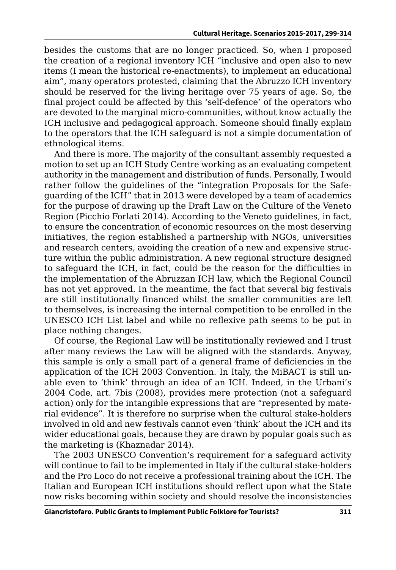besides the customs that are no longer practiced. So, when I proposed the creation of a regional inventory ICH "inclusive and open also to new items (I mean the historical re-enactments), to implement an educational aim", many operators protested, claiming that the Abruzzo ICH inventory should be reserved for the living heritage over 75 years of age. So, the final project could be affected by this 'self-defence' of the operators who are devoted to the marginal micro-communities, without know actually the ICH inclusive and pedagogical approach. Someone should finally explain to the operators that the ICH safeguard is not a simple documentation of ethnological items.

And there is more. The majority of the consultant assembly requested a motion to set up an ICH Study Centre working as an evaluating competent authority in the management and distribution of funds. Personally, I would rather follow the guidelines of the "integration Proposals for the Safeguarding of the ICH" that in 2013 were developed by a team of academics for the purpose of drawing up the Draft Law on the Culture of the Veneto Region (Picchio Forlati 2014). According to the Veneto guidelines, in fact, to ensure the concentration of economic resources on the most deserving initiatives, the region established a partnership with NGOs, universities and research centers, avoiding the creation of a new and expensive structure within the public administration. A new regional structure designed to safeguard the ICH, in fact, could be the reason for the difficulties in the implementation of the Abruzzan ICH law, which the Regional Council has not yet approved. In the meantime, the fact that several big festivals are still institutionally financed whilst the smaller communities are left to themselves, is increasing the internal competition to be enrolled in the UNESCO ICH List label and while no reflexive path seems to be put in place nothing changes.

Of course, the Regional Law will be institutionally reviewed and I trust after many reviews the Law will be aligned with the standards. Anyway, this sample is only a small part of a general frame of deficiencies in the application of the ICH 2003 Convention. In Italy, the MiBACT is still unable even to 'think' through an idea of an ICH. Indeed, in the Urbani's 2004 Code, art. 7bis (2008), provides mere protection (not a safeguard action) only for the intangible expressions that are "represented by material evidence". It is therefore no surprise when the cultural stake-holders involved in old and new festivals cannot even 'think' about the ICH and its wider educational goals, because they are drawn by popular goals such as the marketing is (Khaznadar 2014).

The 2003 UNESCO Convention's requirement for a safeguard activity will continue to fail to be implemented in Italy if the cultural stake-holders and the Pro Loco do not receive a professional training about the ICH. The Italian and European ICH institutions should reflect upon what the State now risks becoming within society and should resolve the inconsistencies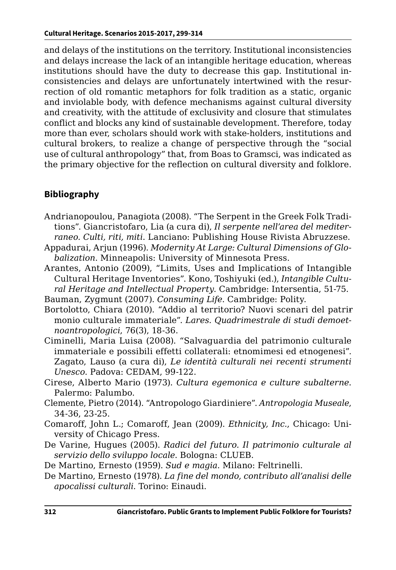and delays of the institutions on the territory. Institutional inconsistencies and delays increase the lack of an intangible heritage education, whereas institutions should have the duty to decrease this gap. Institutional inconsistencies and delays are unfortunately intertwined with the resurrection of old romantic metaphors for folk tradition as a static, organic and inviolable body, with defence mechanisms against cultural diversity and creativity, with the attitude of exclusivity and closure that stimulates conflict and blocks any kind of sustainable development. Therefore, today more than ever, scholars should work with stake-holders, institutions and cultural brokers, to realize a change of perspective through the "social use of cultural anthropology" that, from Boas to Gramsci, was indicated as the primary objective for the reflection on cultural diversity and folklore.

#### **Bibliography**

- Andrianopoulou, Panagiota (2008). "The Serpent in the Greek Folk Traditions". Giancristofaro, Lia (a cura di), *Il serpente nell'area del mediterraneo. Culti, riti, miti*. Lanciano: Publishing House Rivista Abruzzese.
- Appadurai, Arjun (1996). *Modernity At Large: Cultural Dimensions of Globalization*. Minneapolis: University of Minnesota Press.
- Arantes, Antonio (2009), "Limits, Uses and Implications of Intangible Cultural Heritage Inventories". Kono, Toshiyuki (ed.), *Intangible Cultural Heritage and Intellectual Property*. Cambridge: Intersentia, 51-75.
- Bauman, Zygmunt (2007). *Consuming Life*. Cambridge: Polity.
- Bortolotto, Chiara (2010). "Addio al territorio? Nuovi scenari del patrirmonio culturale immateriale". *Lares. Quadrimestrale di studi demoetnoantropologici*, 76(3), 18-36.
- Ciminelli, Maria Luisa (2008). "Salvaguardia del patrimonio culturale immateriale e possibili effetti collaterali: etnomimesi ed etnogenesi". Zagato, Lauso (a cura di), *Le identità culturali nei recenti strumenti Unesco*. Padova: CEDAM, 99-122.
- Cirese, Alberto Mario (1973). *Cultura egemonica e culture subalterne*. Palermo: Palumbo.
- Clemente, Pietro (2014). "Antropologo Giardiniere". *Antropologia Museale*, 34-36, 23-25.
- Comaroff, John L.; Comaroff, Jean (2009). *Ethnicity, Inc.*, Chicago: University of Chicago Press.
- De Varine, Hugues (2005). *Radici del futuro. Il patrimonio culturale al servizio dello sviluppo locale*. Bologna: CLUEB.

De Martino, Ernesto (1959). *Sud e magia*. Milano: Feltrinelli.

De Martino, Ernesto (1978). *La fine del mondo, contributo all'analisi delle apocalissi culturali*. Torino: Einaudi.